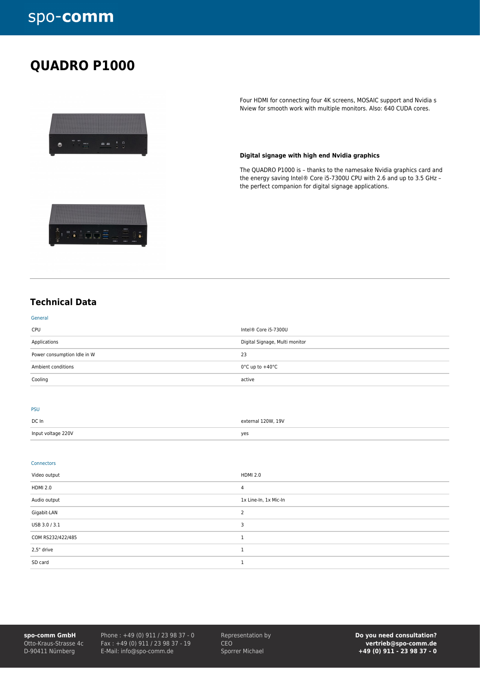## **QUADRO P1000**



 $\frac{1}{2}$ 

Four HDMI for connecting four 4K screens, MOSAIC support and Nvidia s Nview for smooth work with multiple monitors. Also: 640 CUDA cores.

#### **Digital signage with high end Nvidia graphics**

The QUADRO P1000 is – thanks to the namesake Nvidia graphics card and the energy saving Intel® Core i5-7300U CPU with 2.6 and up to 3.5 GHz – the perfect companion for digital signage applications.

### **Technical Data**

| Cooling                     | active                              |
|-----------------------------|-------------------------------------|
| Ambient conditions          | $0^{\circ}$ C up to $+40^{\circ}$ C |
| Power consumption Idle in W | 23                                  |
| Applications                | Digital Signage, Multi monitor      |
| CPU                         | Intel® Core i5-7300U                |
| General                     |                                     |

#### PSU

| DC In              | external 120W, 19V |
|--------------------|--------------------|
| Input voltage 220V | yes                |

#### Connectors

| Video output      | <b>HDMI 2.0</b>       |
|-------------------|-----------------------|
| <b>HDMI 2.0</b>   | 4                     |
| Audio output      | 1x Line-In, 1x Mic-In |
| Gigabit-LAN       |                       |
| USB 3.0 / 3.1     | ٦                     |
| COM RS232/422/485 |                       |
| 2,5" drive        |                       |
| SD card           |                       |

**spo-comm GmbH** Otto-Kraus-Strasse 4c D-90411 Nürnberg

Phone : +49 (0) 911 / 23 98 37 - 0 Fax : +49 (0) 911 / 23 98 37 - 19 E-Mail: info@spo-comm.de

Representation by CEO Sporrer Michael

**Do you need consultation? vertrieb@spo-comm.de +49 (0) 911 - 23 98 37 - 0**